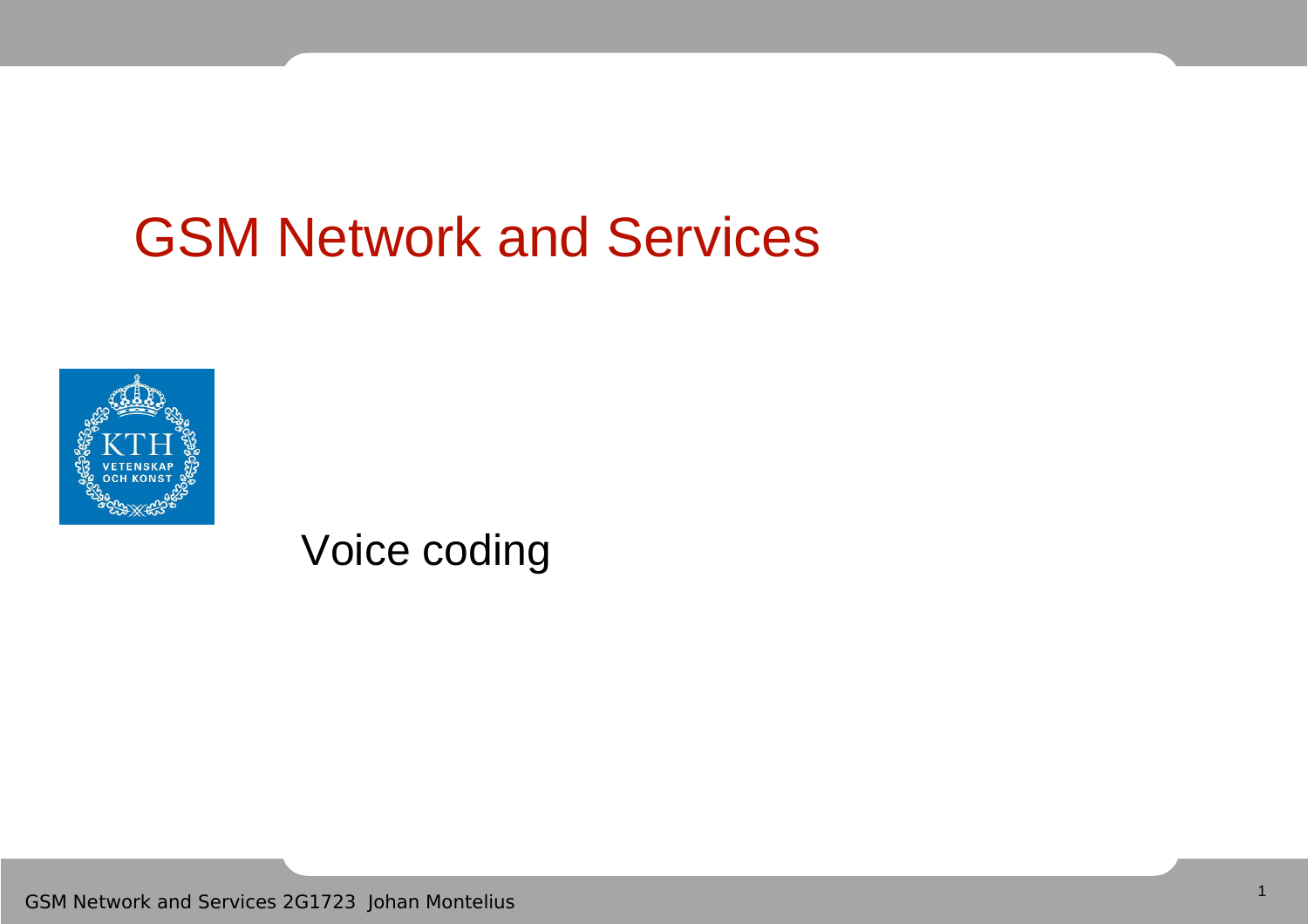## GSM Network and Services



Voice coding

GSM Network and Services 2G1723 Johan Montelius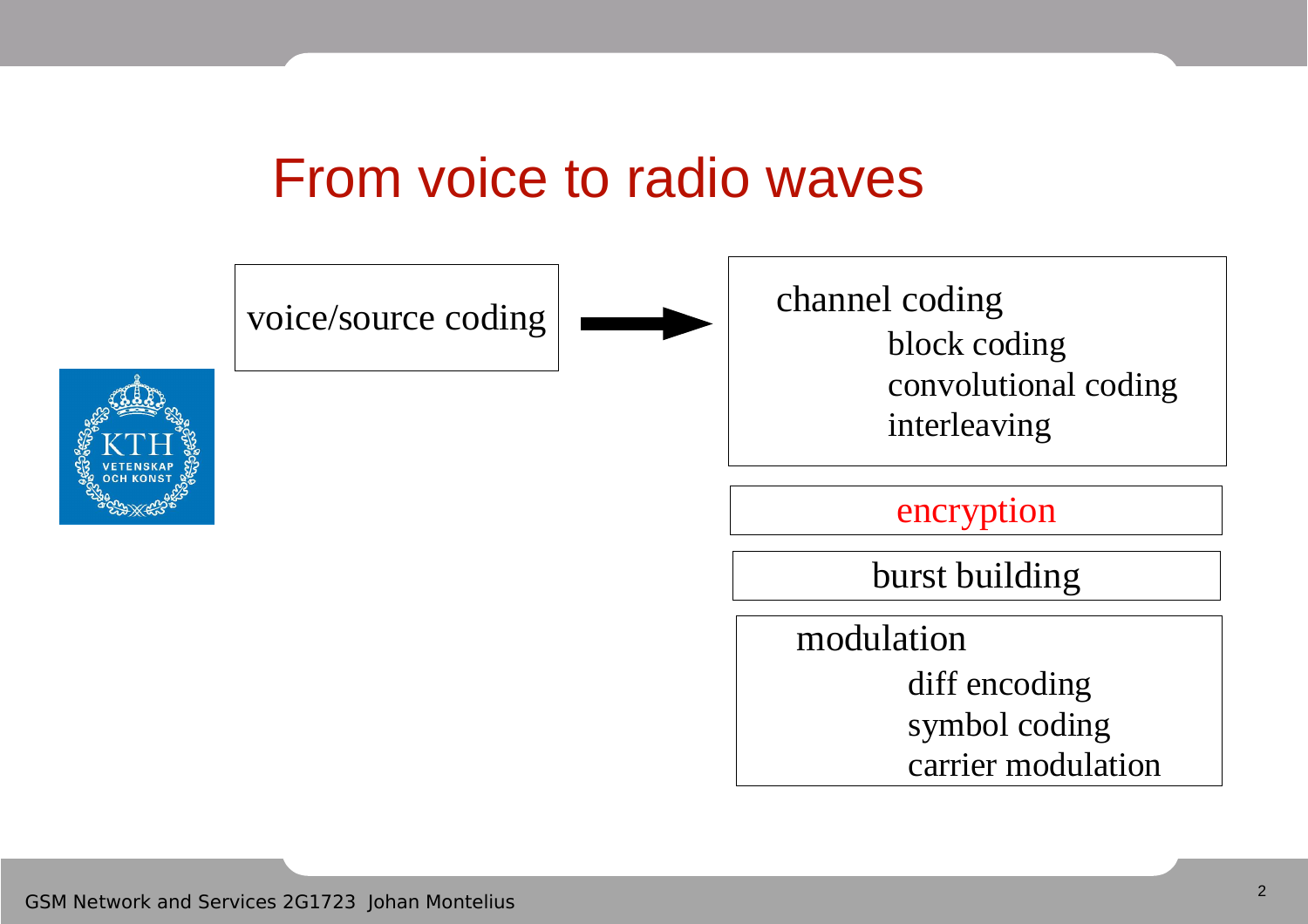#### From voice to radio waves

voice/source coding





channel coding block coding convolutional coding interleaving

encryption

burst building

modulation

diff encoding symbol coding carrier modulation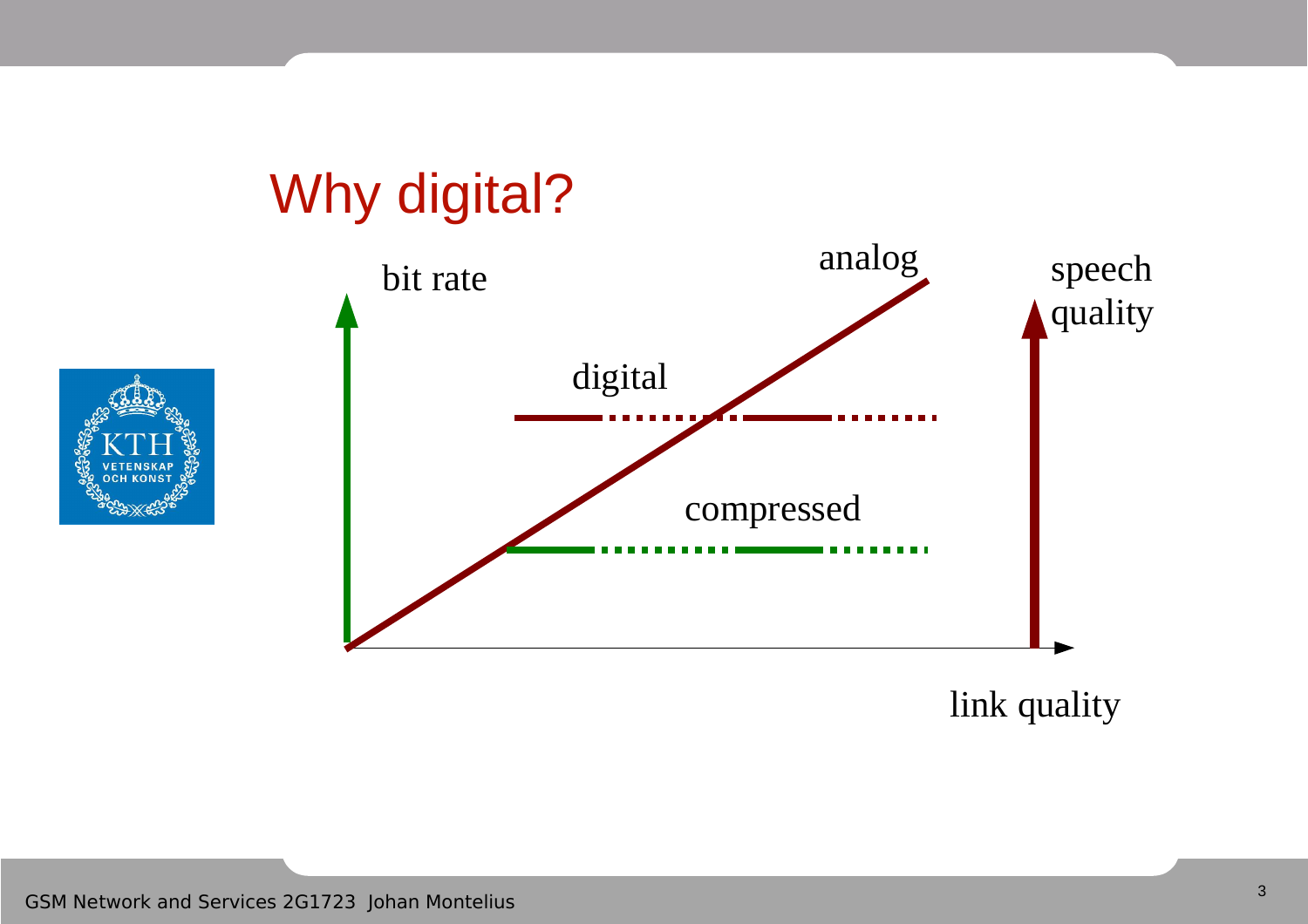# Why digital?





link quality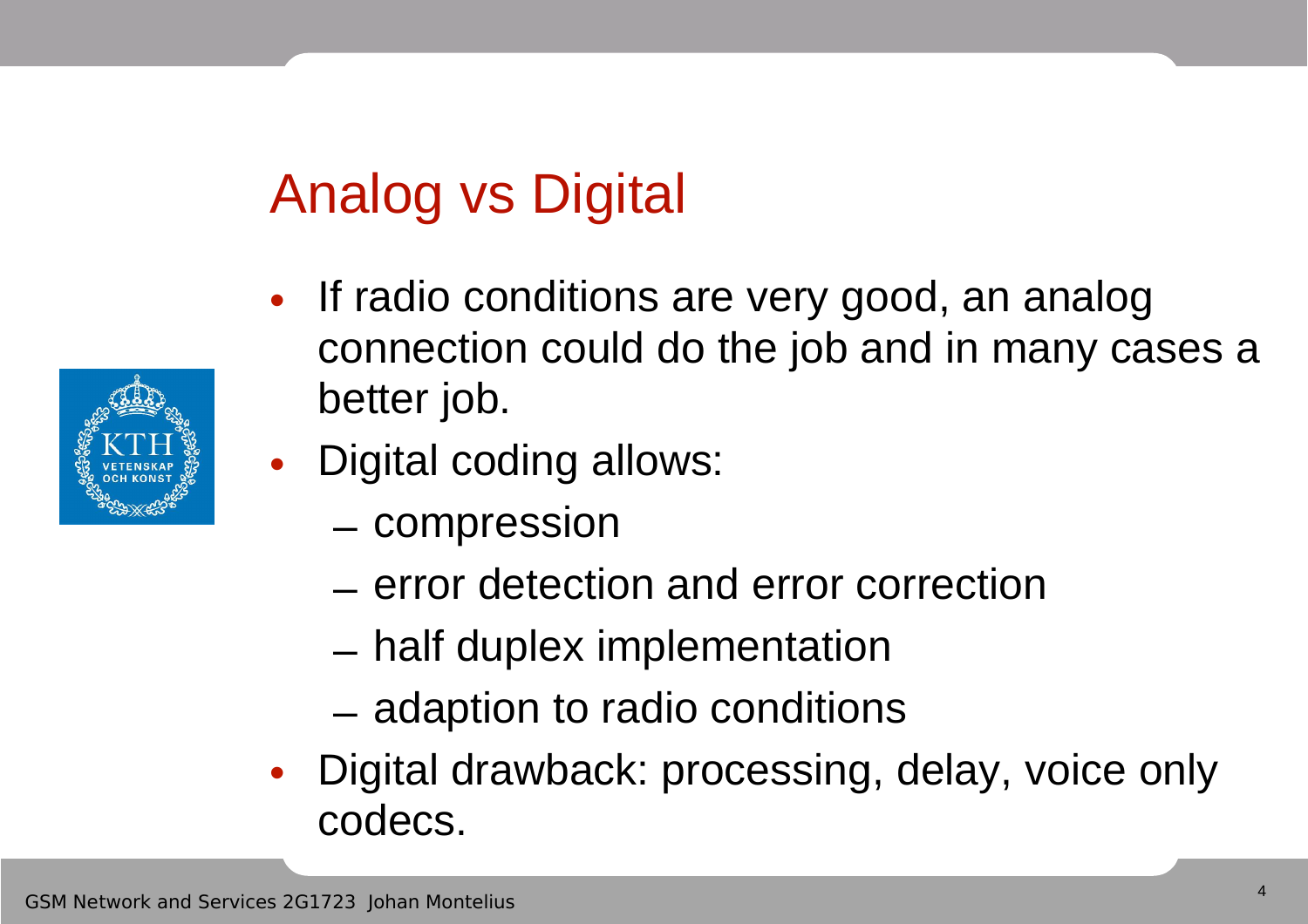# Analog vs Digital

- If radio conditions are very good, an analog connection could do the job and in many cases a better job.
- Digital coding allows:
	- compression
	- error detection and error correction
	- half duplex implementation
	- adaption to radio conditions
- Digital drawback: processing, delay, voice only codecs.

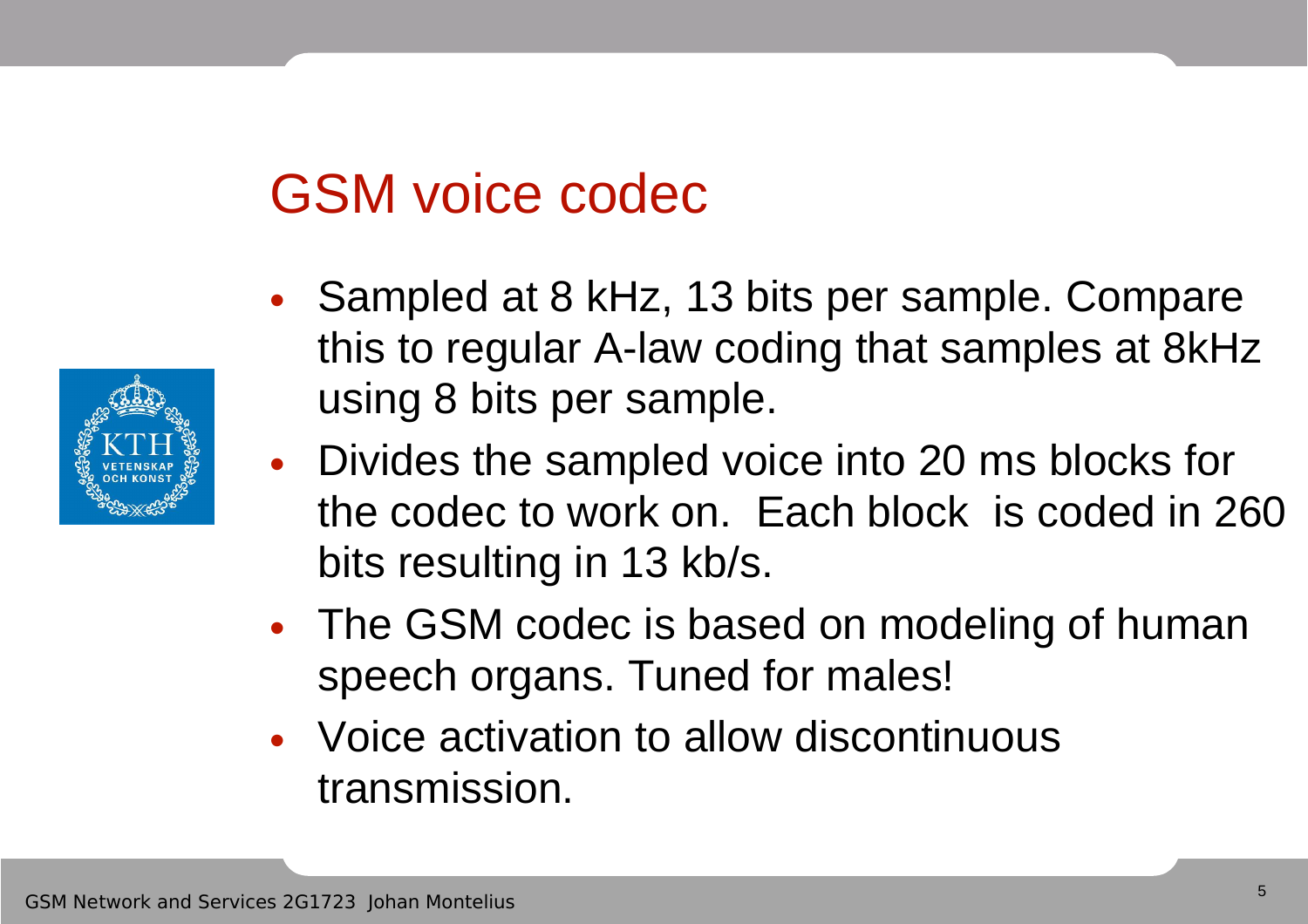## GSM voice codec

- Sampled at 8 kHz, 13 bits per sample. Compare this to regular A-law coding that samples at 8kHz using 8 bits per sample.
- Divides the sampled voice into 20 ms blocks for the codec to work on. Each block is coded in 260 bits resulting in 13 kb/s.
- The GSM codec is based on modeling of human speech organs. Tuned for males!
- Voice activation to allow discontinuous transmission.

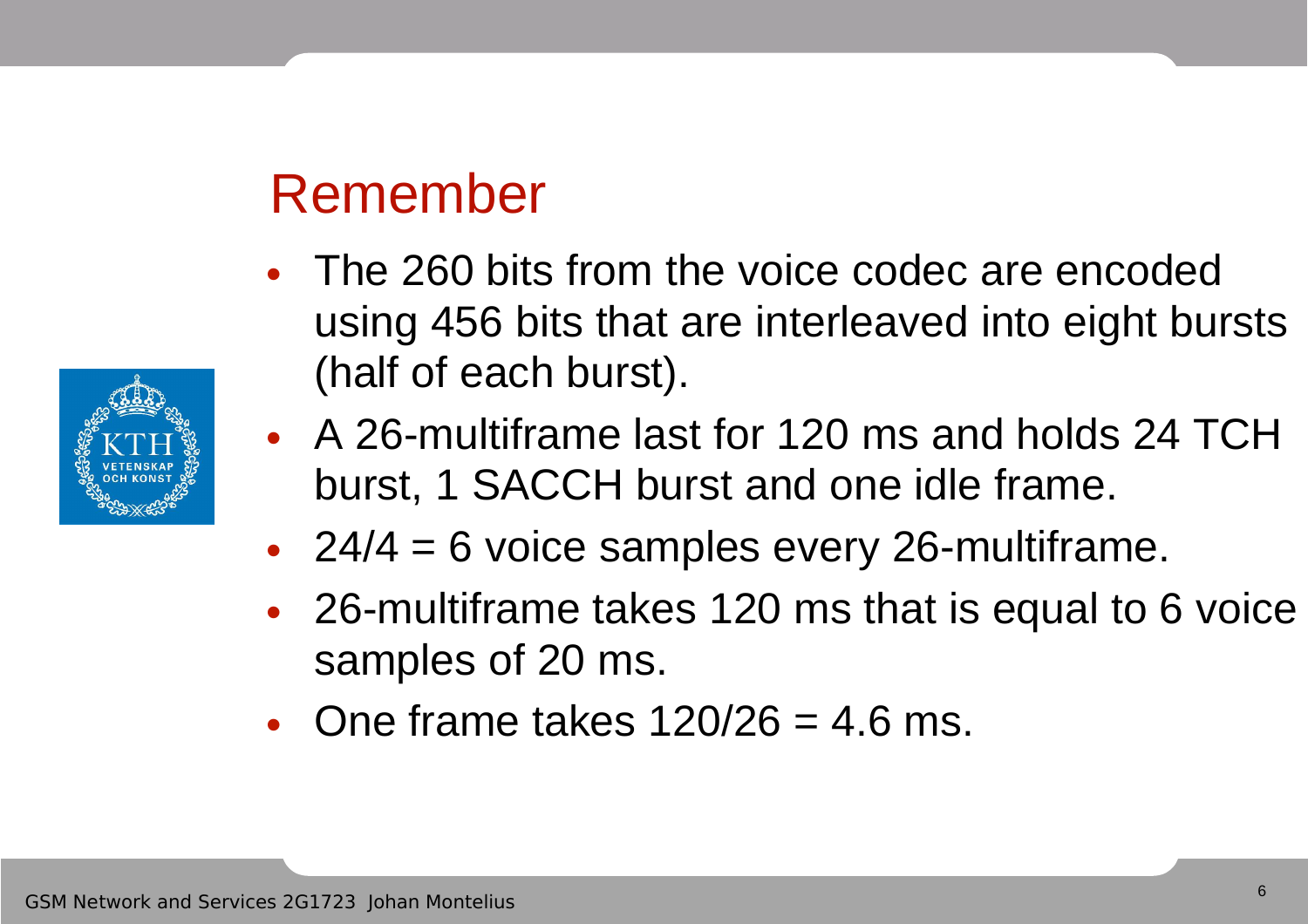#### Remember

- The 260 bits from the voice codec are encoded using 456 bits that are interleaved into eight bursts (half of each burst).
- A 26-multiframe last for 120 ms and holds 24 TCH burst, 1 SACCH burst and one idle frame.
- 24/4 = 6 voice samples every 26-multiframe.
- 26-multiframe takes 120 ms that is equal to 6 voice samples of 20 ms.
- One frame takes  $120/26 = 4.6$  ms.

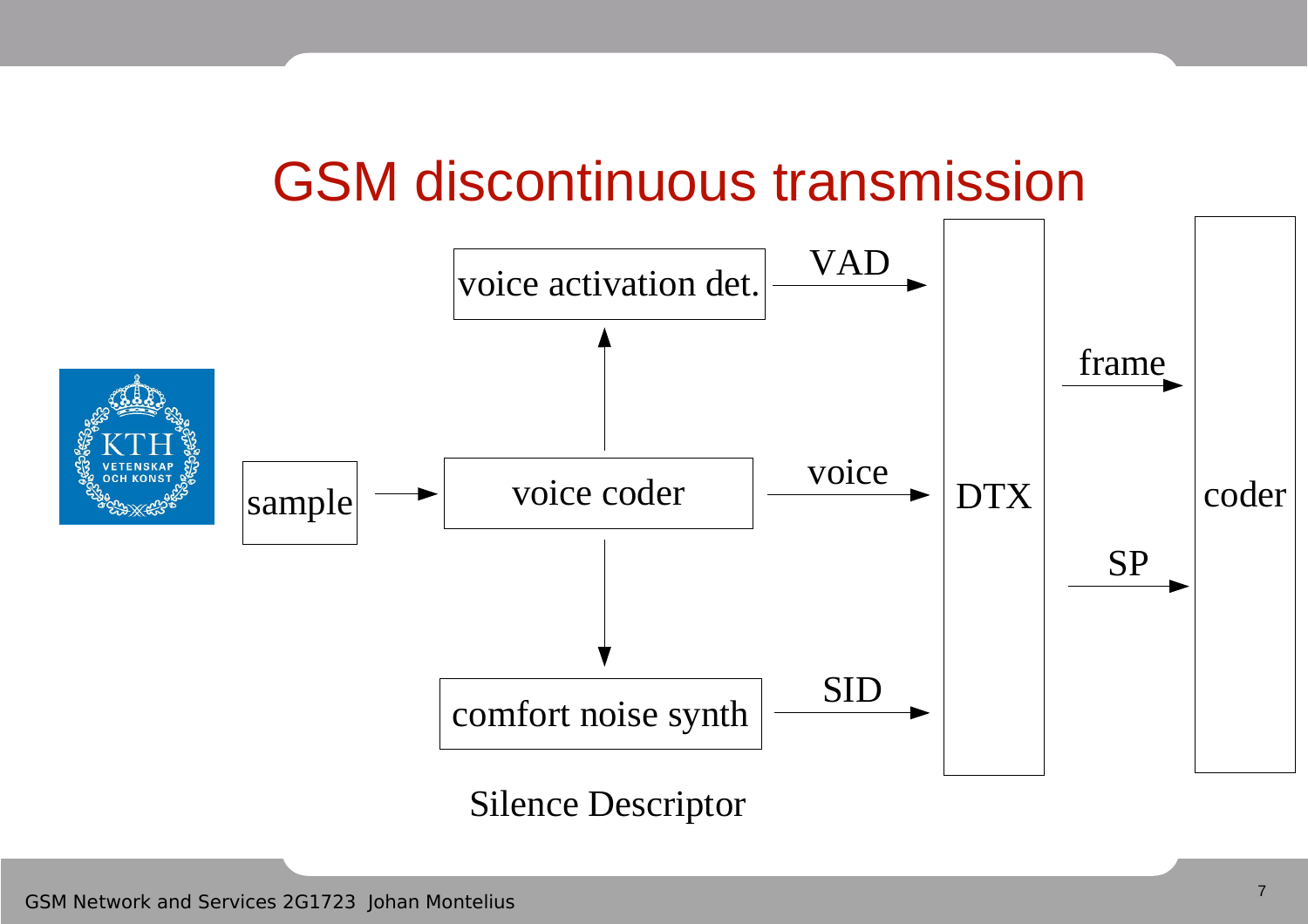#### GSM discontinuous transmission

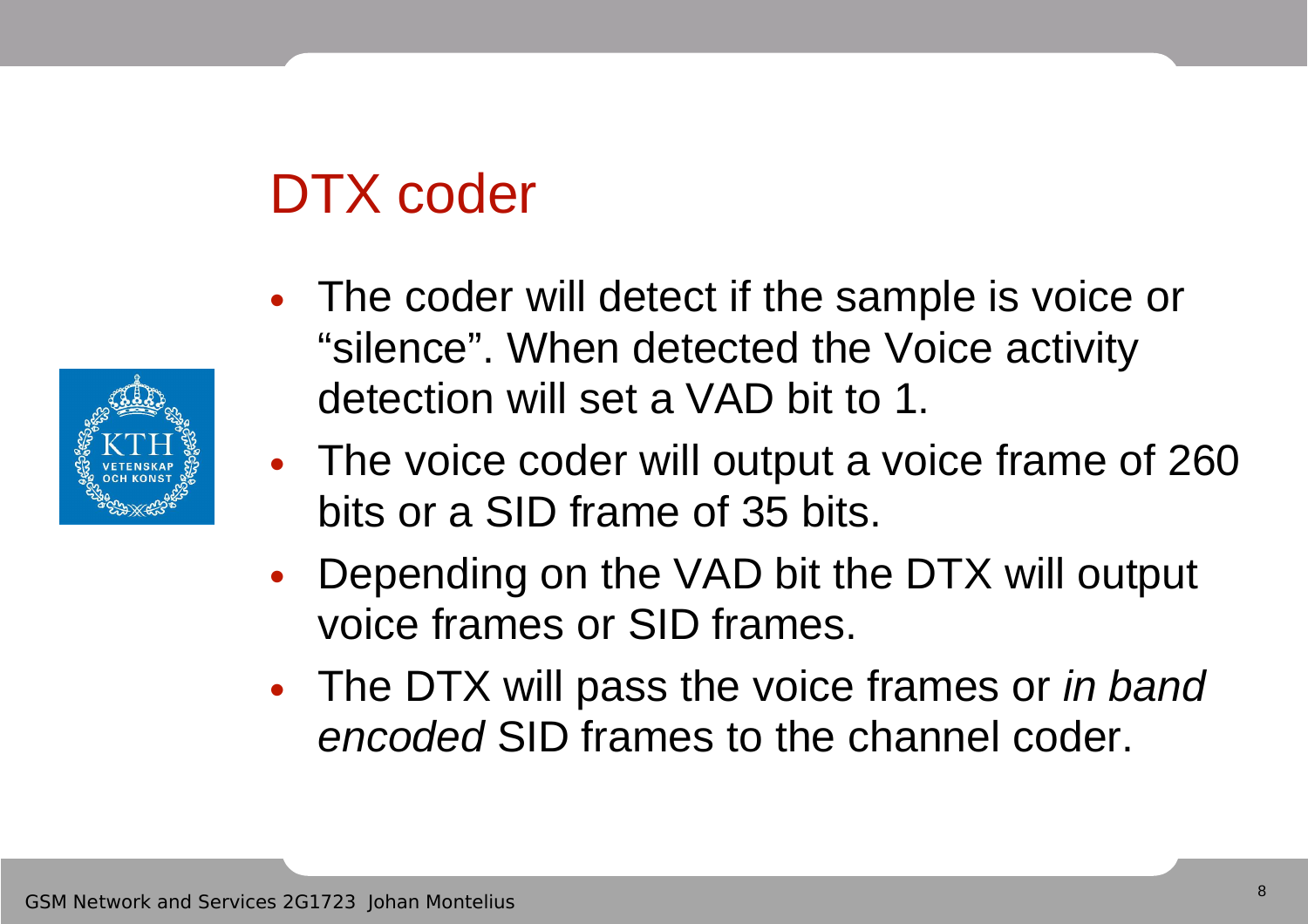# DTX coder

- The coder will detect if the sample is voice or "silence". When detected the Voice activity detection will set a VAD bit to 1.
- The voice coder will output a voice frame of 260 bits or a SID frame of 35 bits.
- Depending on the VAD bit the DTX will output voice frames or SID frames.
- The DTX will pass the voice frames or in band encoded SID frames to the channel coder.

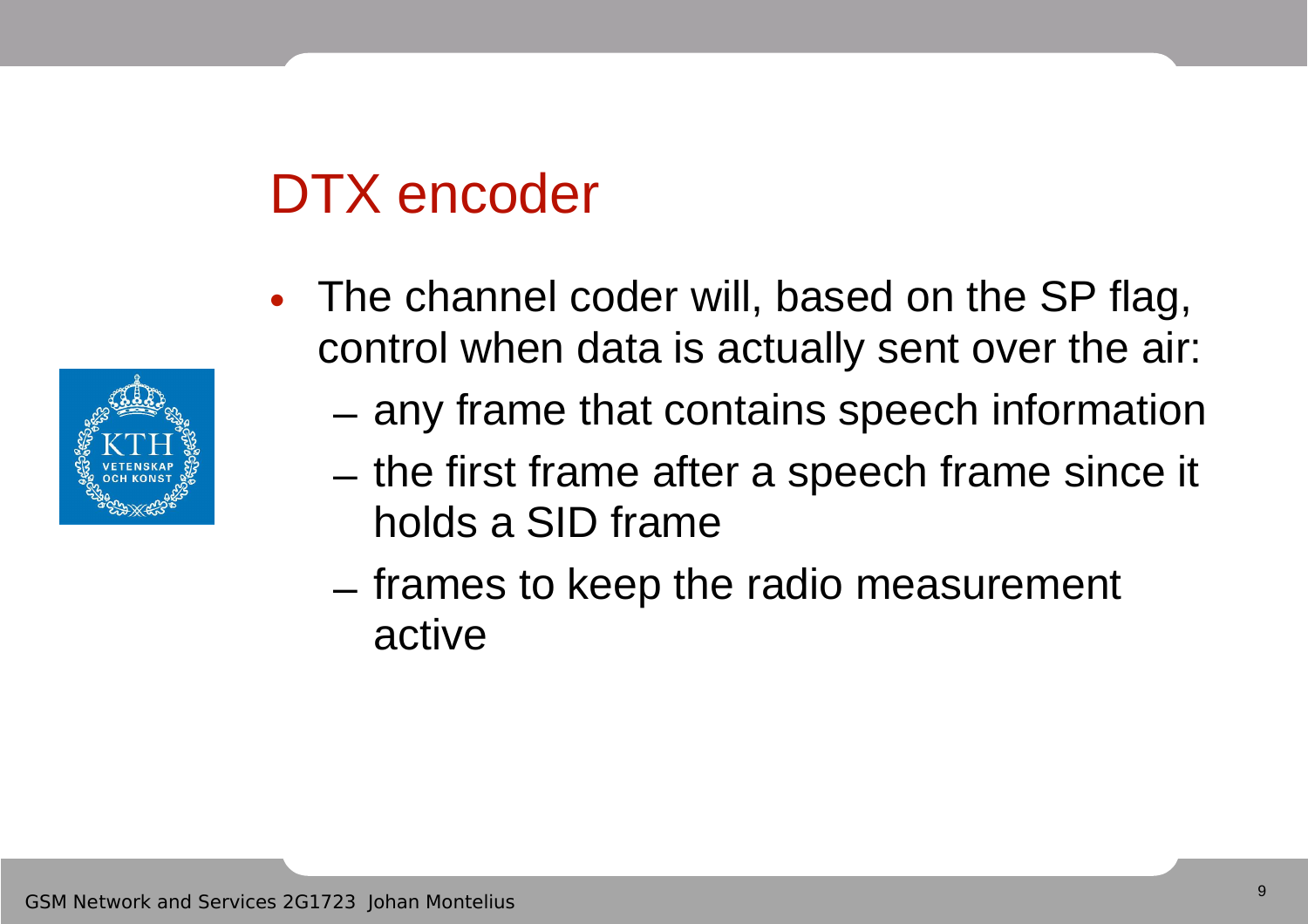# DTX encoder

- The channel coder will, based on the SP flag, control when data is actually sent over the air:
	- any frame that contains speech information
	- the first frame after a speech frame since it holds a SID frame
	- frames to keep the radio measurement active

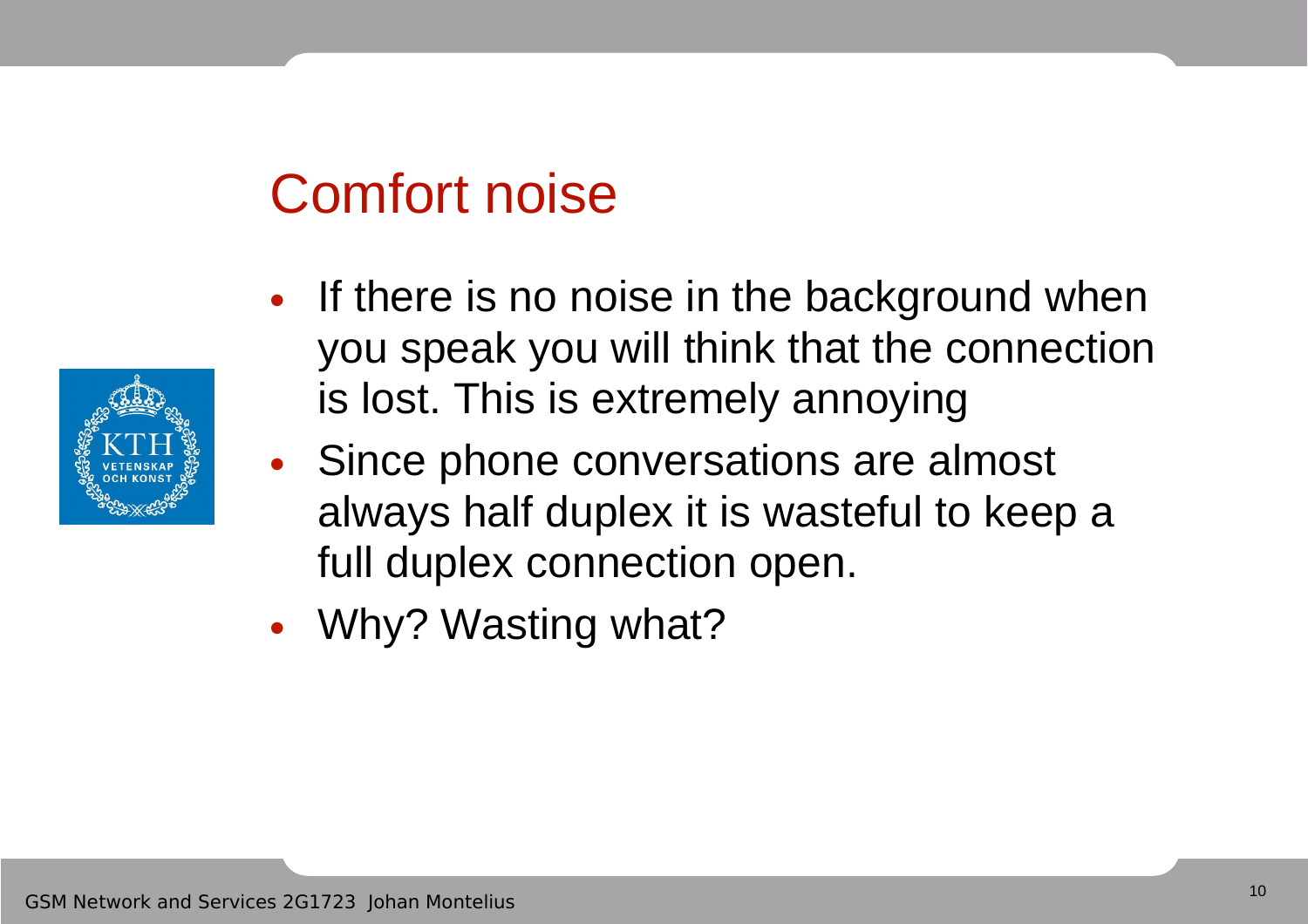#### Comfort noise

- If there is no noise in the background when you speak you will think that the connection is lost. This is extremely annoying
- Since phone conversations are almost always half duplex it is wasteful to keep a full duplex connection open.
- Why? Wasting what?

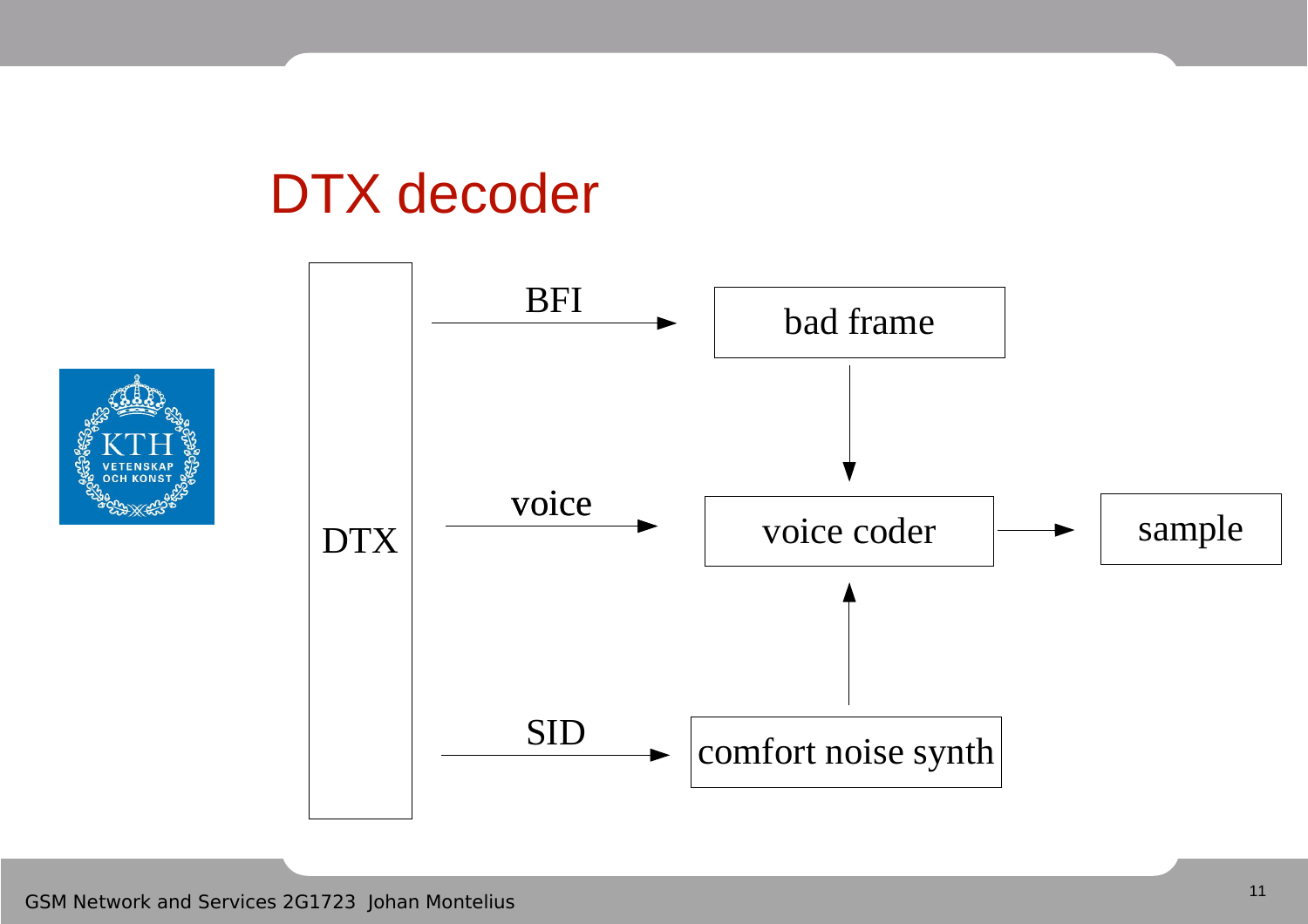#### DTX decoder

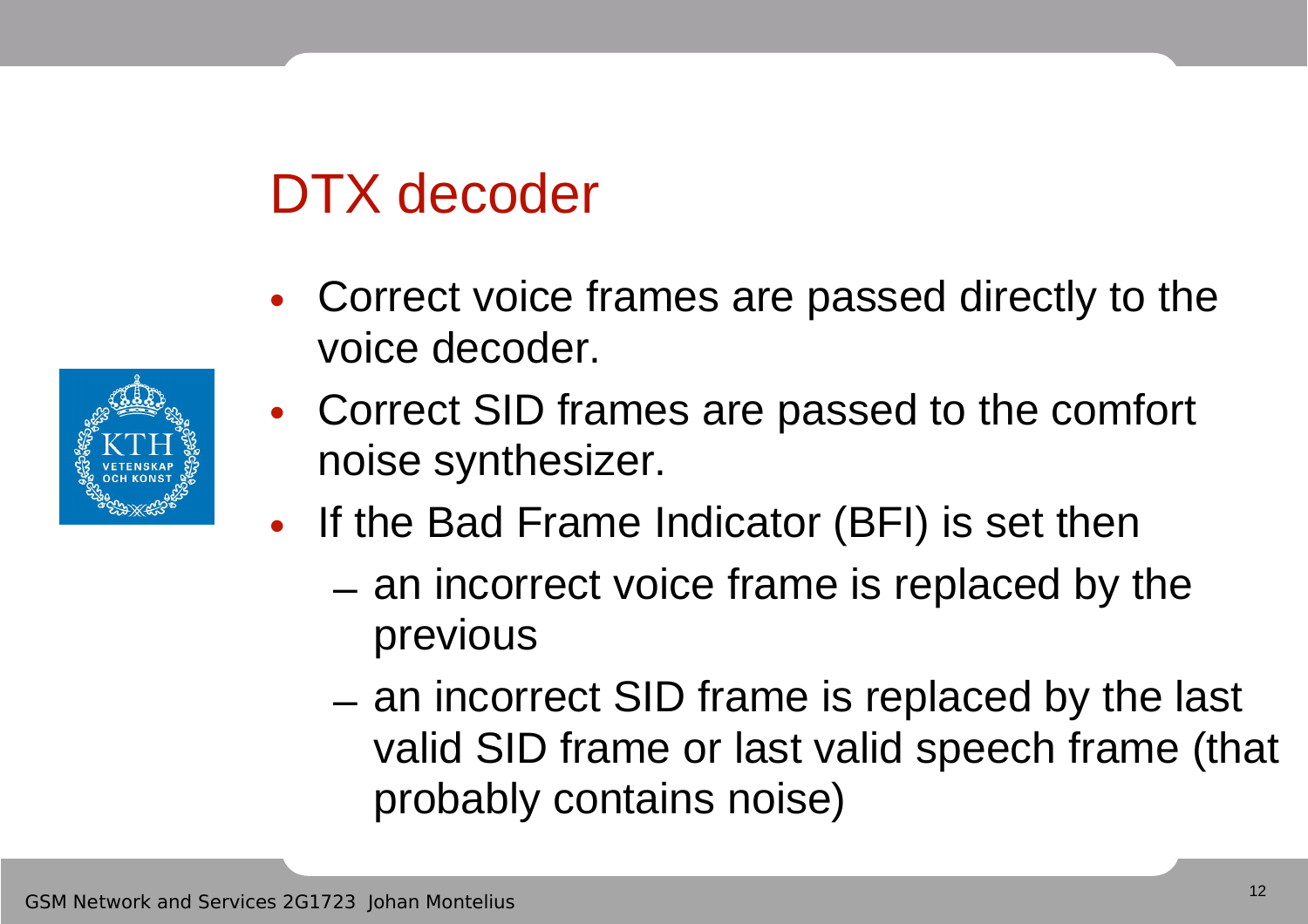## DTX decoder

- Correct voice frames are passed directly to the voice decoder.
- Correct SID frames are passed to the comfort noise synthesizer.
- If the Bad Frame Indicator (BFI) is set then
	- an incorrect voice frame is replaced by the previous
	- an incorrect SID frame is replaced by the last valid SID frame or last valid speech frame (that probably contains noise)

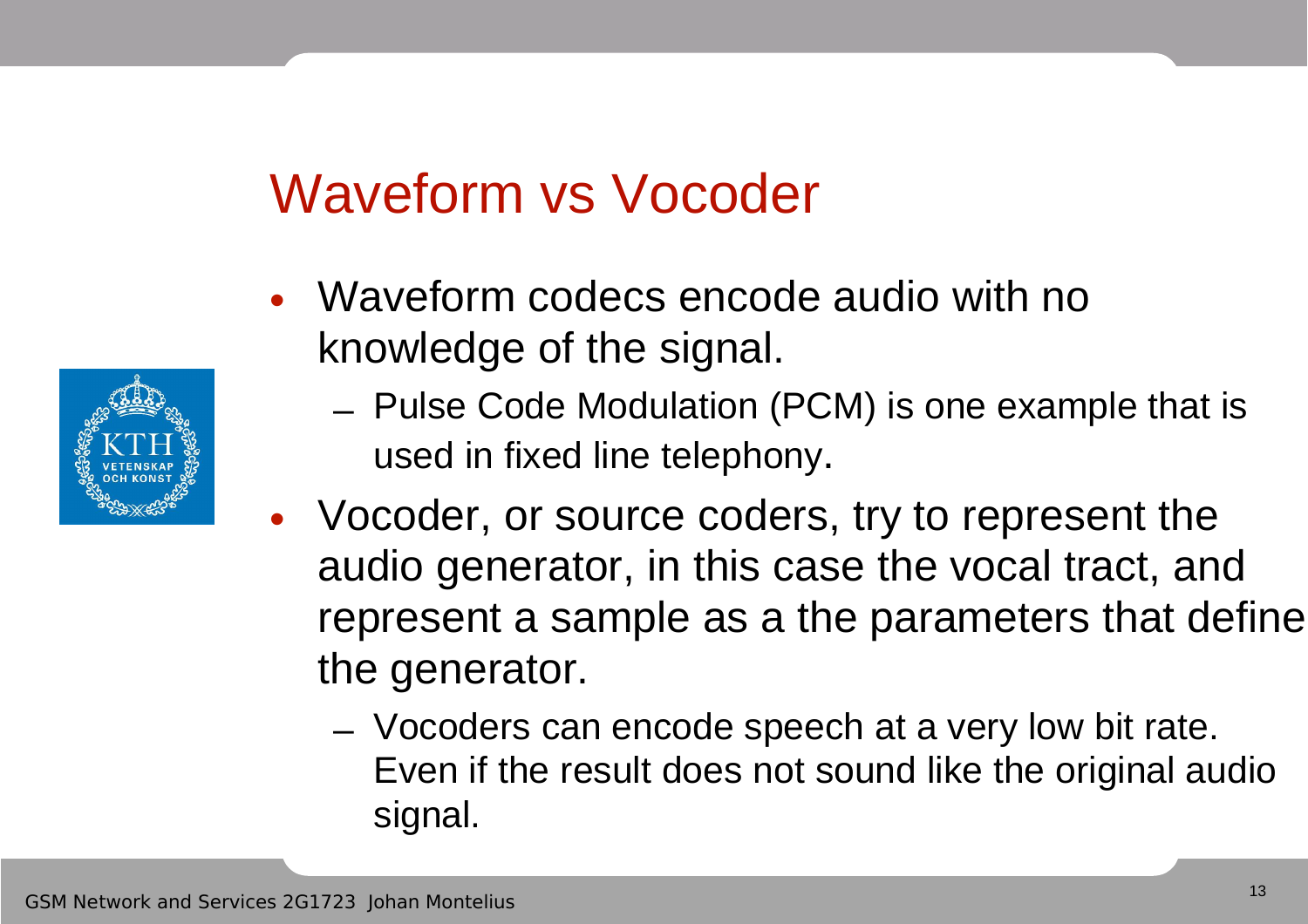# Waveform vs Vocoder

- Waveform codecs encode audio with no knowledge of the signal.
	- Pulse Code Modulation (PCM) is one example that is used in fixed line telephony.
- Vocoder, or source coders, try to represent the audio generator, in this case the vocal tract, and represent a sample as a the parameters that define the generator.
	- Vocoders can encode speech at a very low bit rate. Even if the result does not sound like the original audio signal.

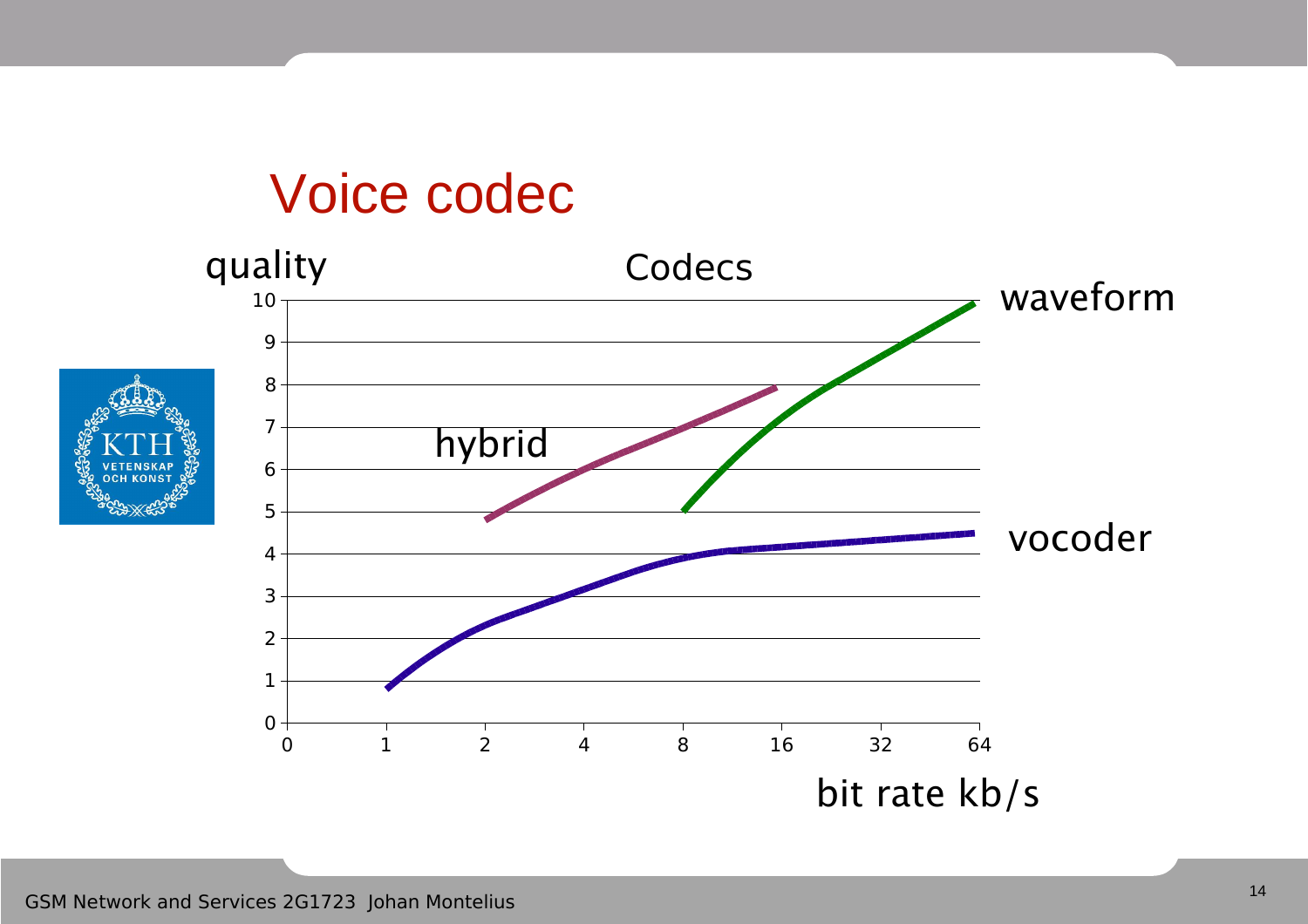#### Voice codec

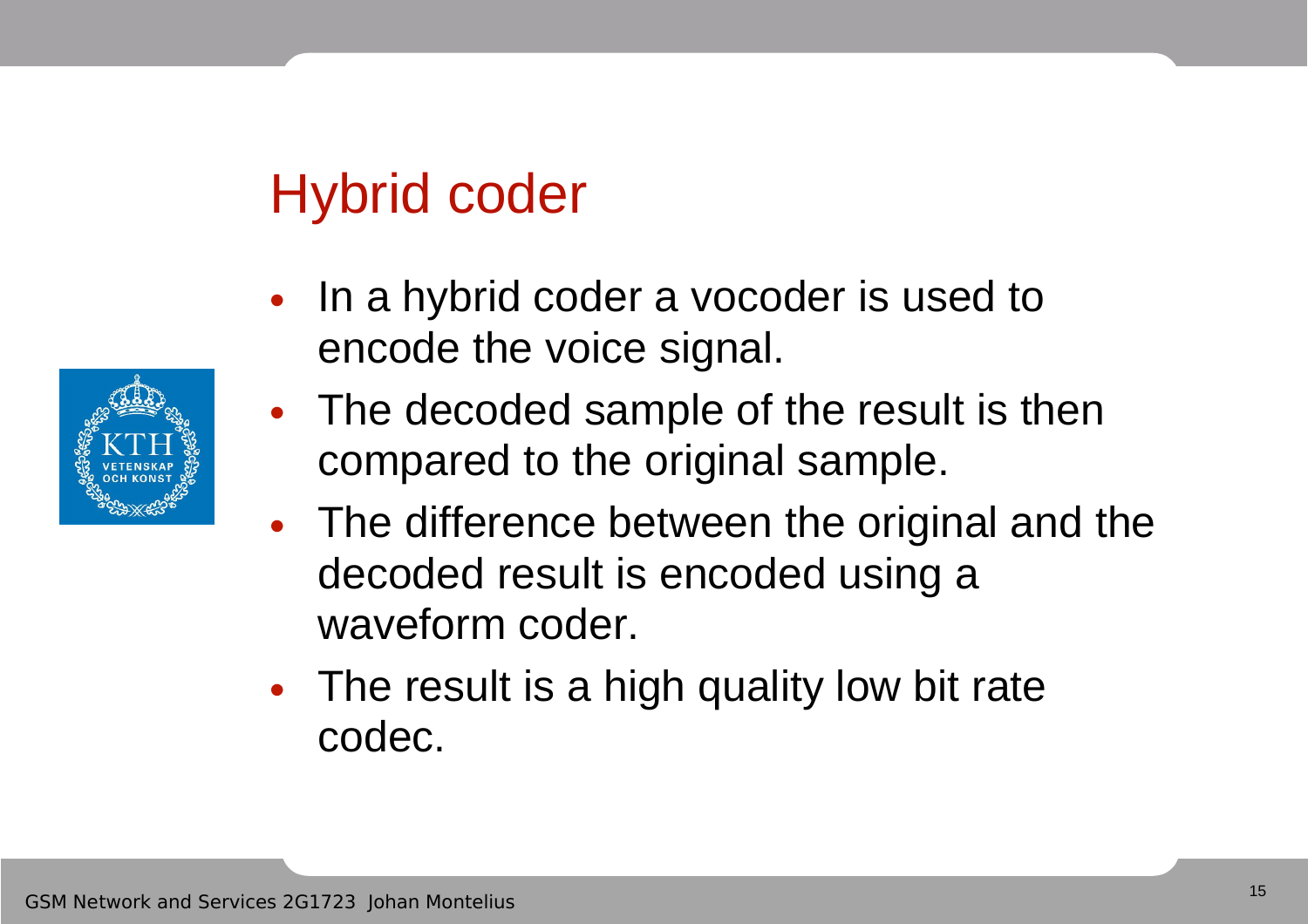## Hybrid coder

- In a hybrid coder a vocoder is used to encode the voice signal.
- The decoded sample of the result is then compared to the original sample.
- The difference between the original and the decoded result is encoded using a waveform coder.
- The result is a high quality low bit rate codec.

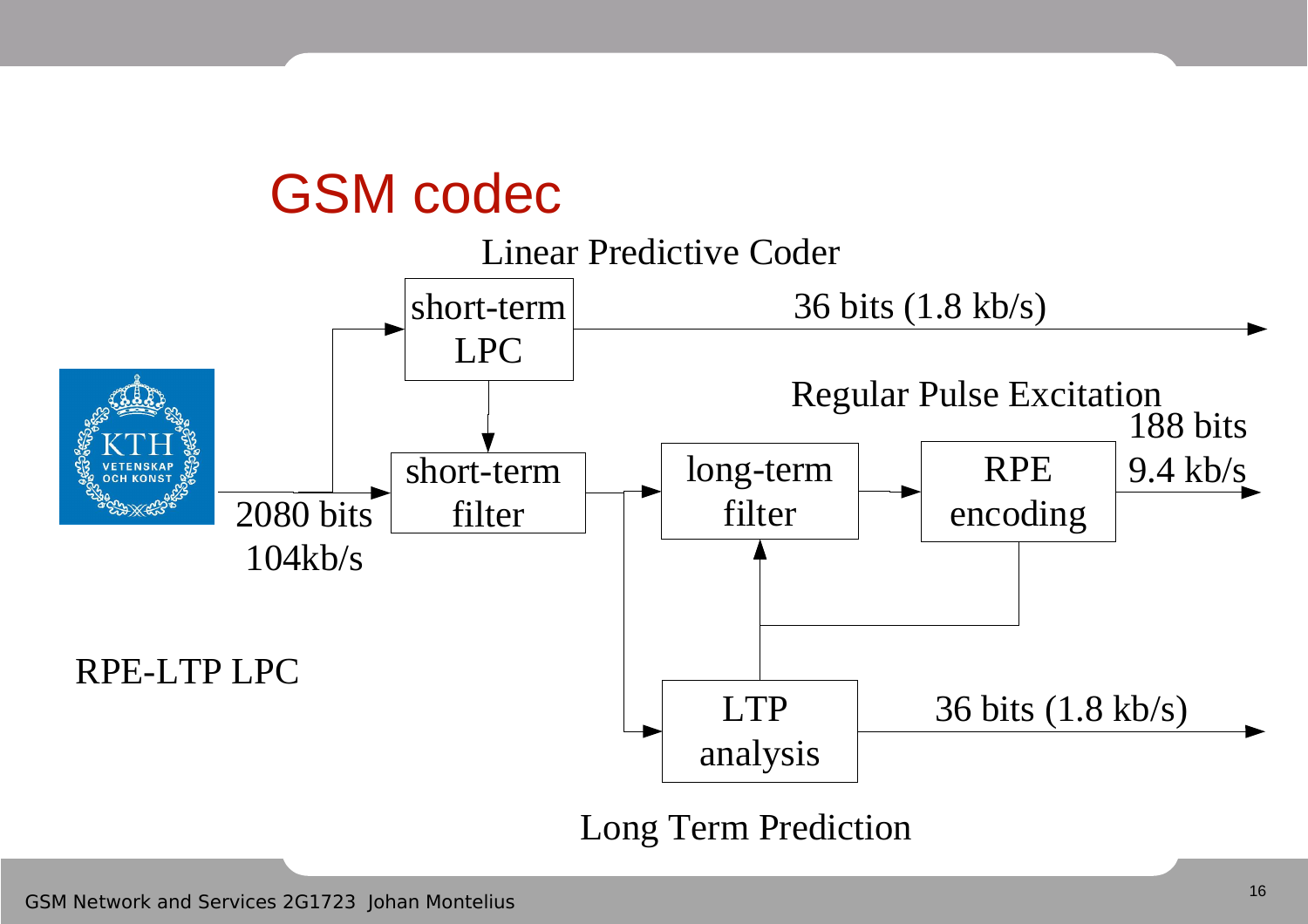#### GSM codec



#### Long Term Prediction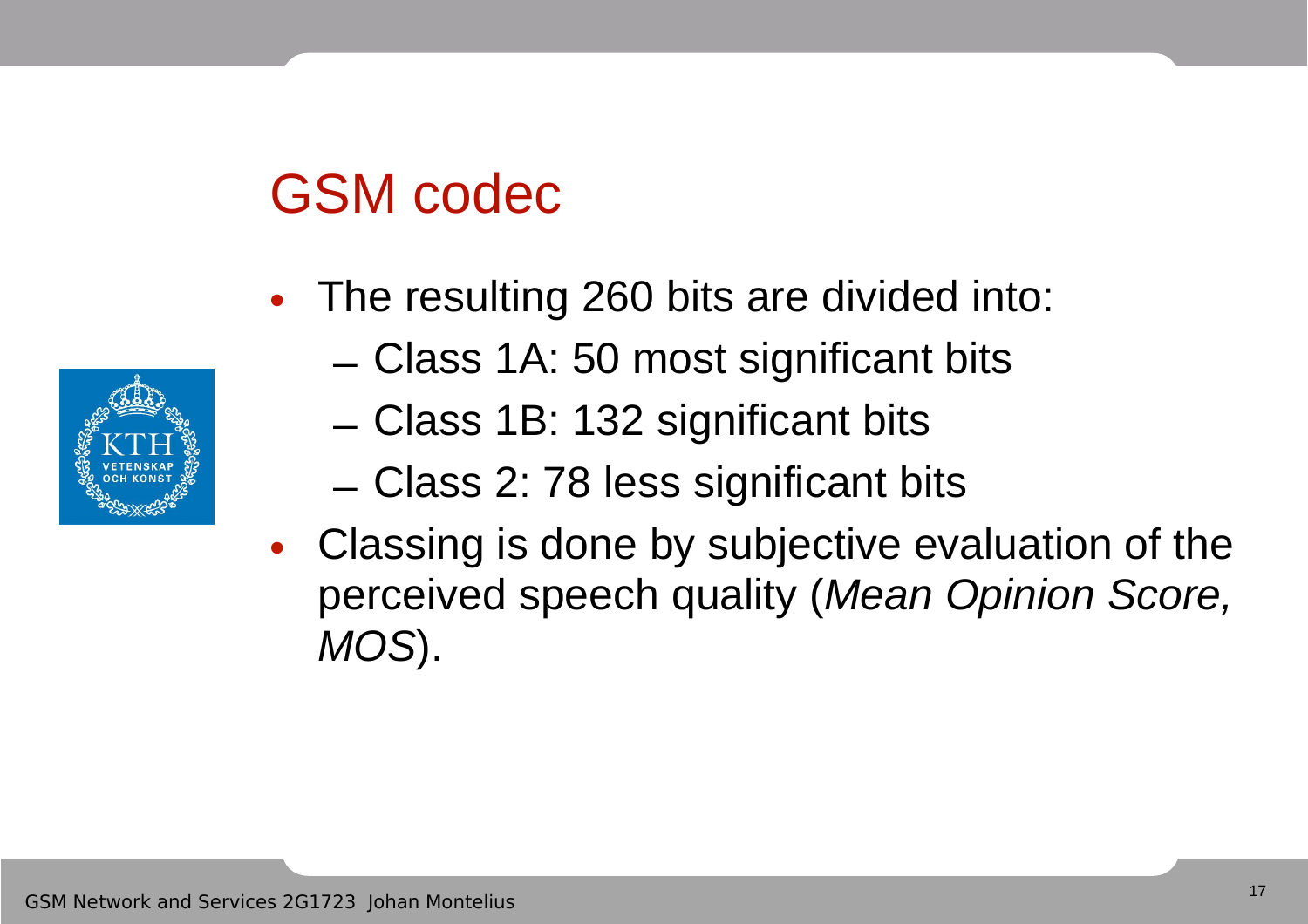## GSM codec

- The resulting 260 bits are divided into:
	- Class 1A: 50 most significant bits
	- Class 1B: 132 significant bits
	- Class 2: 78 less significant bits
- Classing is done by subjective evaluation of the perceived speech quality (Mean Opinion Score, MOS).

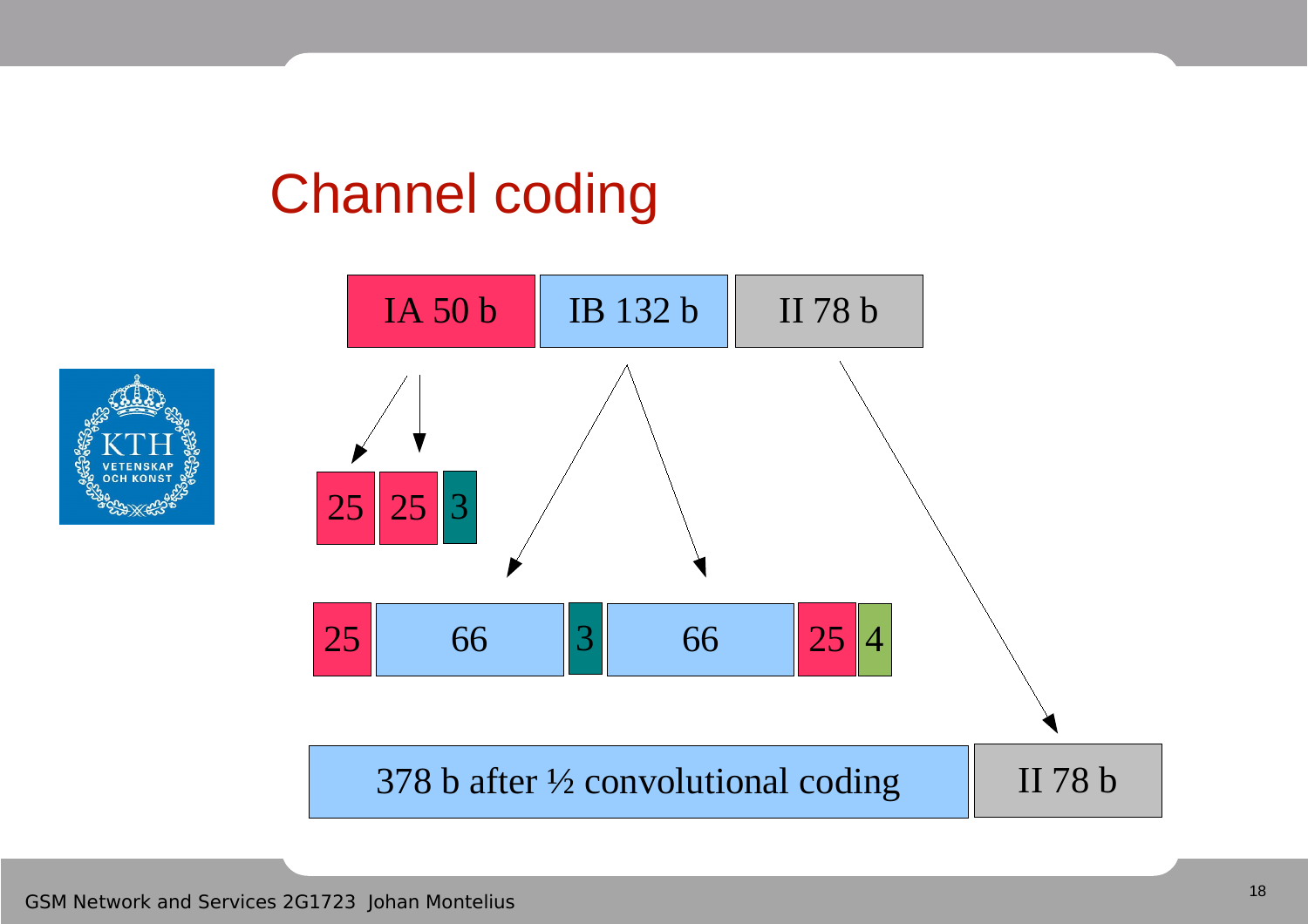# Channel coding



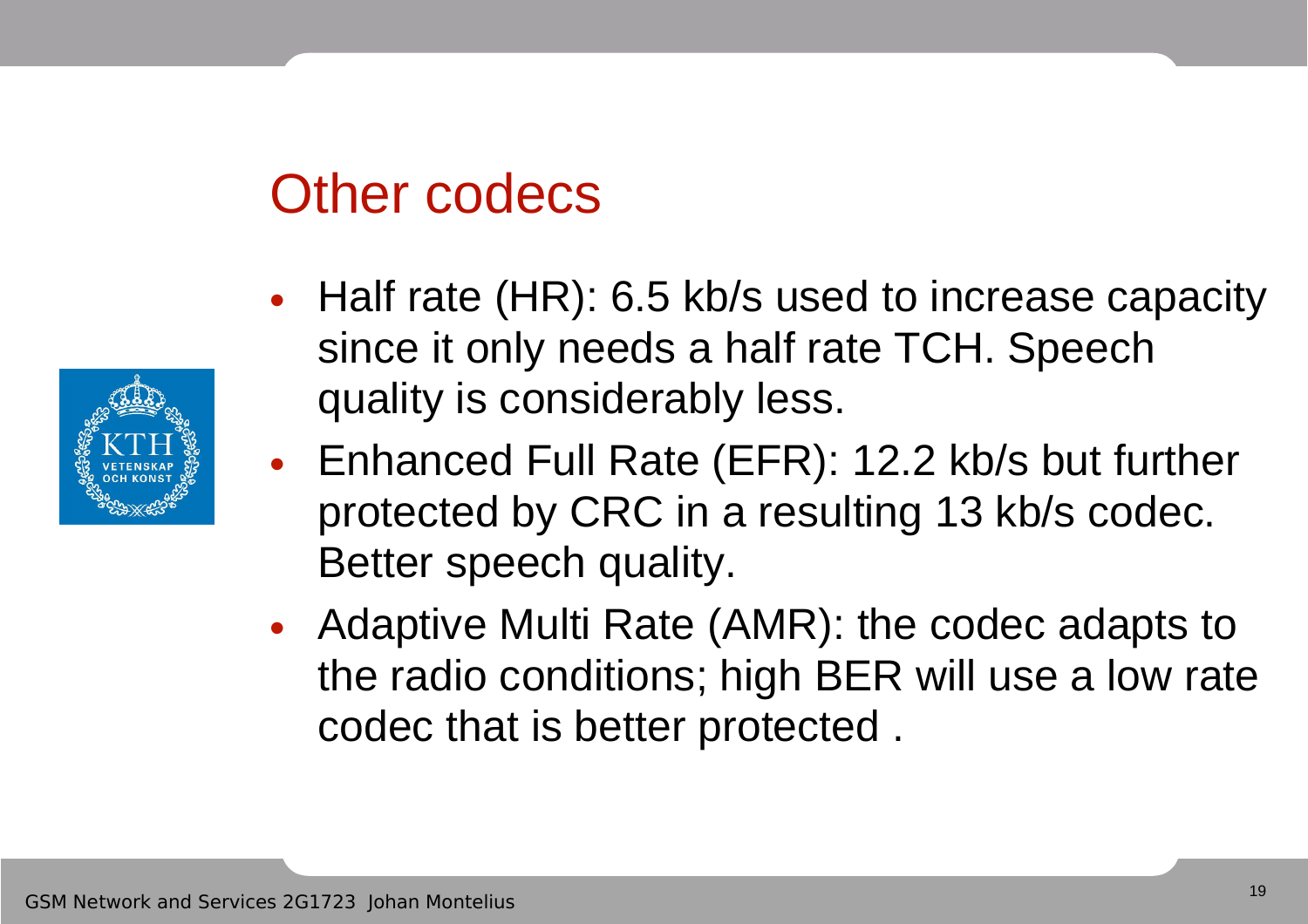#### Other codecs

- Half rate (HR): 6.5 kb/s used to increase capacity since it only needs a half rate TCH. Speech quality is considerably less.
- Enhanced Full Rate (EFR): 12.2 kb/s but further protected by CRC in a resulting 13 kb/s codec. Better speech quality.
- Adaptive Multi Rate (AMR): the codec adapts to the radio conditions; high BER will use a low rate codec that is better protected .

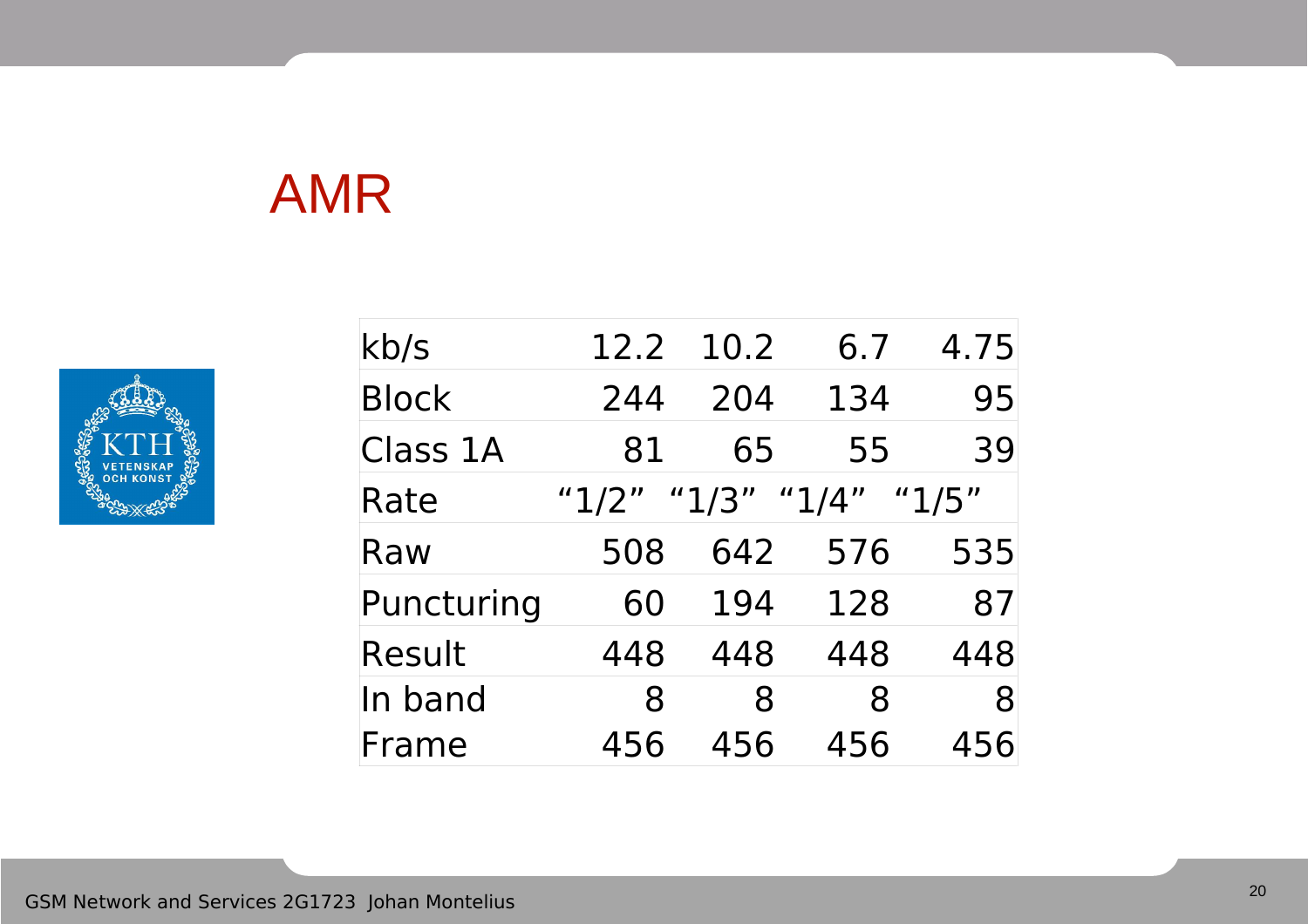## AMR

![](_page_19_Picture_1.jpeg)

| kb/s          | 12.2      | 10.2        | 6.7 | 4.75  |
|---------------|-----------|-------------|-----|-------|
| <b>Block</b>  | 244       | 204         | 134 | 95    |
| Class 1A      | 81        | 65          | 55  | 39    |
| Rate          | " $1/2$ " | "1/3" "1/4" |     | "1/5" |
| Raw           | 508       | 642         | 576 | 535   |
| Puncturing    | 60        | 194         | 128 | 87    |
| <b>Result</b> | 448       | 448         | 448 | 448   |
| In band       | 8         | 8           | 8   | 8     |
| Frame         | 456       | 456         | 456 | 456   |